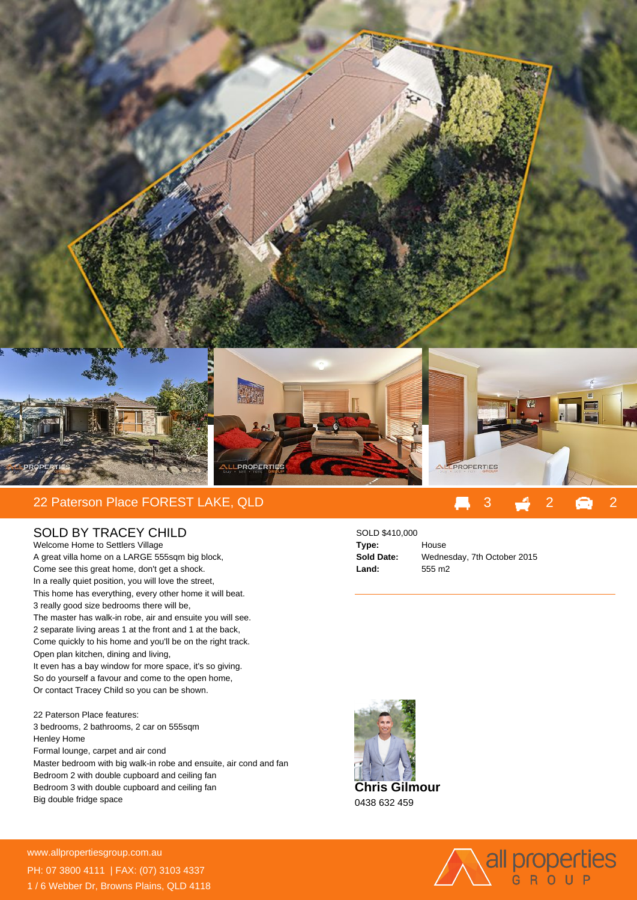

## SOLD BY TRACEY CHILD

Welcome Home to Settlers Village A great villa home on a LARGE 555sqm big block, Come see this great home, don't get a shock. In a really quiet position, you will love the street, This home has everything, every other home it will beat. 3 really good size bedrooms there will be, The master has walk-in robe, air and ensuite you will see. 2 separate living areas 1 at the front and 1 at the back, Come quickly to his home and you'll be on the right track. Open plan kitchen, dining and living, It even has a bay window for more space, it's so giving. So do yourself a favour and come to the open home, Or contact Tracey Child so you can be shown.

22 Paterson Place features: 3 bedrooms, 2 bathrooms, 2 car on 555sqm Henley Home Formal lounge, carpet and air cond Master bedroom with big walk-in robe and ensuite, air cond and fan Bedroom 2 with double cupboard and ceiling fan Bedroom 3 with double cupboard and ceiling fan Big double fridge space

## SOLD \$410,000

**Type:** House **Land:** 555 m2

**Sold Date:** Wednesday, 7th October 2015





**For more details please visit** www.allpropertiesgroup.com.au/<br>23211500 PH: 07 3800 4111 | FAX: (07) 3103 4337 1 / 6 Webber Dr, Browns Plains, QLD 4118